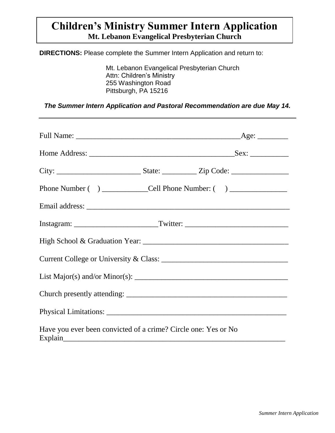# **Children's Ministry Summer Intern Application Mt. Lebanon Evangelical Presbyterian Church**

**DIRECTIONS:** Please complete the Summer Intern Application and return to:

Mt. Lebanon Evangelical Presbyterian Church Attn: Children's Ministry 255 Washington Road Pittsburgh, PA 15216

*The Summer Intern Application and Pastoral Recommendation are due May 14.*

| Phone Number () _______________Cell Phone Number: () ____________________________                                                                                                                                                 |  |
|-----------------------------------------------------------------------------------------------------------------------------------------------------------------------------------------------------------------------------------|--|
|                                                                                                                                                                                                                                   |  |
|                                                                                                                                                                                                                                   |  |
|                                                                                                                                                                                                                                   |  |
|                                                                                                                                                                                                                                   |  |
| List Major(s) and/or Minor(s): $\frac{1}{2}$ Minor(s) and Algorithm and Algorithm and Algorithm and Algorithm and Algorithm and Algorithm and Algorithm and Algorithm and Algorithm and Algorithm and Algorithm and Algorithm and |  |
|                                                                                                                                                                                                                                   |  |
|                                                                                                                                                                                                                                   |  |
| Have you ever been convicted of a crime? Circle one: Yes or No                                                                                                                                                                    |  |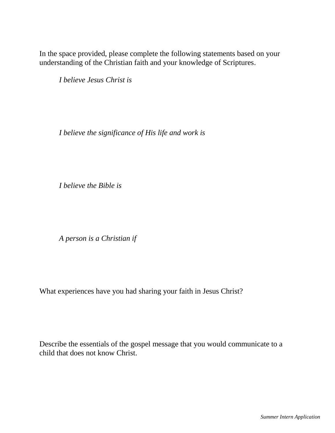In the space provided, please complete the following statements based on your understanding of the Christian faith and your knowledge of Scriptures.

*I believe Jesus Christ is*

*I believe the significance of His life and work is*

*I believe the Bible is*

*A person is a Christian if*

What experiences have you had sharing your faith in Jesus Christ?

Describe the essentials of the gospel message that you would communicate to a child that does not know Christ.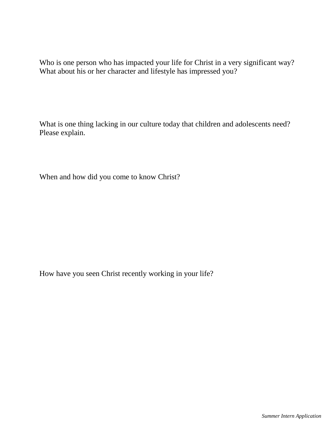Who is one person who has impacted your life for Christ in a very significant way? What about his or her character and lifestyle has impressed you?

What is one thing lacking in our culture today that children and adolescents need? Please explain.

When and how did you come to know Christ?

How have you seen Christ recently working in your life?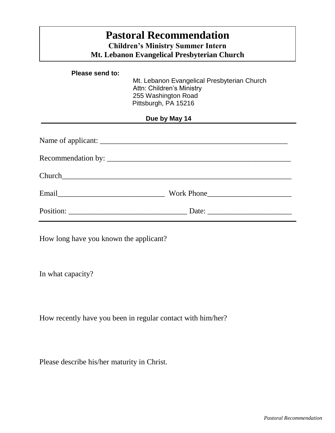| <b>Pastoral Recommendation</b><br><b>Children's Ministry Summer Intern</b><br>Mt. Lebanon Evangelical Presbyterian Church |                                                                                                                         |  |  |  |  |
|---------------------------------------------------------------------------------------------------------------------------|-------------------------------------------------------------------------------------------------------------------------|--|--|--|--|
| Please send to:                                                                                                           | Mt. Lebanon Evangelical Presbyterian Church<br>Attn: Children's Ministry<br>255 Washington Road<br>Pittsburgh, PA 15216 |  |  |  |  |
| Due by May 14                                                                                                             |                                                                                                                         |  |  |  |  |
|                                                                                                                           | Recommendation by:                                                                                                      |  |  |  |  |
|                                                                                                                           |                                                                                                                         |  |  |  |  |
|                                                                                                                           |                                                                                                                         |  |  |  |  |
|                                                                                                                           |                                                                                                                         |  |  |  |  |

How long have you known the applicant?

In what capacity?

How recently have you been in regular contact with him/her?

Please describe his/her maturity in Christ.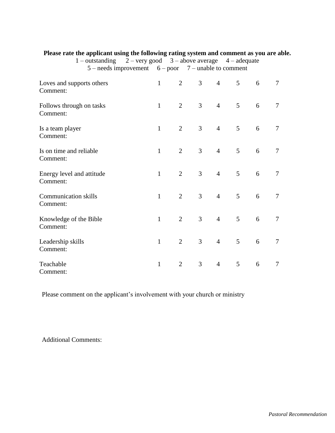|                                         | 1 – outstanding $2$ – very good $3$ – above average $4$ – adequate<br>$5$ – needs improvement $6$ – poor $7$ – unable to comment |              |                |                |                |                |   |                |
|-----------------------------------------|----------------------------------------------------------------------------------------------------------------------------------|--------------|----------------|----------------|----------------|----------------|---|----------------|
| Loves and supports others<br>Comment:   |                                                                                                                                  | $\mathbf{1}$ | $\overline{2}$ | $\mathfrak{Z}$ | $\overline{4}$ | 5 <sup>5</sup> | 6 | 7              |
| Follows through on tasks<br>Comment:    |                                                                                                                                  | $\mathbf{1}$ | $\overline{2}$ | 3 <sup>1</sup> | $\overline{4}$ | 5 <sup>5</sup> | 6 | $\overline{7}$ |
| Is a team player<br>Comment:            |                                                                                                                                  | $\mathbf{1}$ | $\overline{2}$ | $\overline{3}$ | $\overline{4}$ | 5 <sup>1</sup> | 6 | $\overline{7}$ |
| Is on time and reliable<br>Comment:     |                                                                                                                                  | $\mathbf{1}$ | $\overline{2}$ | $\mathfrak{Z}$ | 4              | 5 <sup>5</sup> | 6 | $\tau$         |
| Energy level and attitude<br>Comment:   |                                                                                                                                  | $\mathbf{1}$ | $\overline{2}$ | $\mathfrak{Z}$ | $\overline{4}$ | 5 <sup>5</sup> | 6 | $\overline{7}$ |
| <b>Communication skills</b><br>Comment: |                                                                                                                                  | $\mathbf{1}$ | $\overline{2}$ | $\overline{3}$ | $\overline{4}$ | 5 <sup>1</sup> | 6 | $\overline{7}$ |
| Knowledge of the Bible<br>Comment:      |                                                                                                                                  | $\mathbf{1}$ | $\overline{2}$ | $\overline{3}$ | $\overline{4}$ | 5 <sup>5</sup> | 6 | $\overline{7}$ |
| Leadership skills<br>Comment:           |                                                                                                                                  | $\mathbf{1}$ | $\overline{2}$ | $\mathfrak{Z}$ | $\overline{4}$ | 5 <sup>5</sup> | 6 | $\tau$         |
| Teachable<br>Comment:                   |                                                                                                                                  | $\mathbf{1}$ | $\overline{2}$ | $\overline{3}$ | $\overline{4}$ | 5              | 6 | $\overline{7}$ |

**Please rate the applicant using the following rating system and comment as you are able.**

Please comment on the applicant's involvement with your church or ministry

Additional Comments: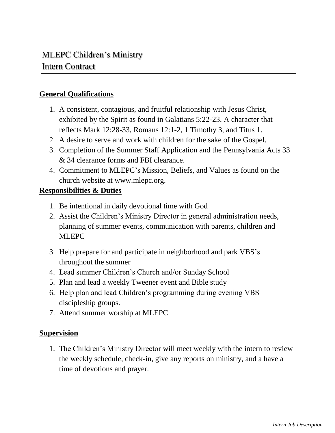### **General Qualifications**

- 1. A consistent, contagious, and fruitful relationship with Jesus Christ, exhibited by the Spirit as found in Galatians 5:22-23. A character that reflects Mark 12:28-33, Romans 12:1-2, 1 Timothy 3, and Titus 1.
- 2. A desire to serve and work with children for the sake of the Gospel.
- 3. Completion of the Summer Staff Application and the Pennsylvania Acts 33 & 34 clearance forms and FBI clearance.
- 4. Commitment to MLEPC's Mission, Beliefs, and Values as found on the church website at www.mlepc.org.

#### **Responsibilities & Duties**

- 1. Be intentional in daily devotional time with God
- 2. Assist the Children's Ministry Director in general administration needs, planning of summer events, communication with parents, children and MLEPC
- 3. Help prepare for and participate in neighborhood and park VBS's throughout the summer
- 4. Lead summer Children's Church and/or Sunday School
- 5. Plan and lead a weekly Tweener event and Bible study
- 6. Help plan and lead Children's programming during evening VBS discipleship groups.
- 7. Attend summer worship at MLEPC

#### **Supervision**

1. The Children's Ministry Director will meet weekly with the intern to review the weekly schedule, check-in, give any reports on ministry, and a have a time of devotions and prayer.